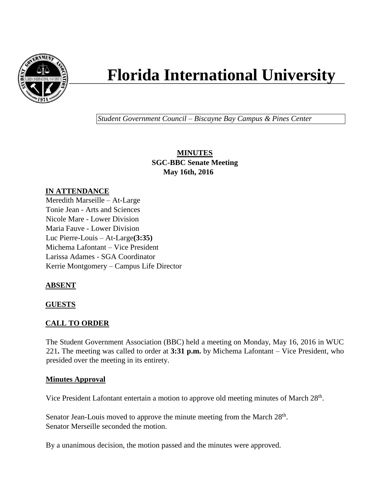

# **Florida International University**

*Student Government Council – Biscayne Bay Campus & Pines Center*

**MINUTES SGC-BBC Senate Meeting May 16th, 2016**

# **IN ATTENDANCE**

Meredith Marseille – At-Large Tonie Jean - Arts and Sciences Nicole Mare - Lower Division Maria Fauve - Lower Division Luc Pierre-Louis – At-Large**(3:35)** Michema Lafontant – Vice President Larissa Adames - SGA Coordinator Kerrie Montgomery – Campus Life Director

# **ABSENT**

#### **GUESTS**

#### **CALL TO ORDER**

The Student Government Association (BBC) held a meeting on Monday, May 16, 2016 in WUC 221**.** The meeting was called to order at **3:31 p.m.** by Michema Lafontant – Vice President, who presided over the meeting in its entirety.

#### **Minutes Approval**

Vice President Lafontant entertain a motion to approve old meeting minutes of March 28<sup>th</sup>.

Senator Jean-Louis moved to approve the minute meeting from the March 28<sup>th</sup>. Senator Merseille seconded the motion.

By a unanimous decision, the motion passed and the minutes were approved.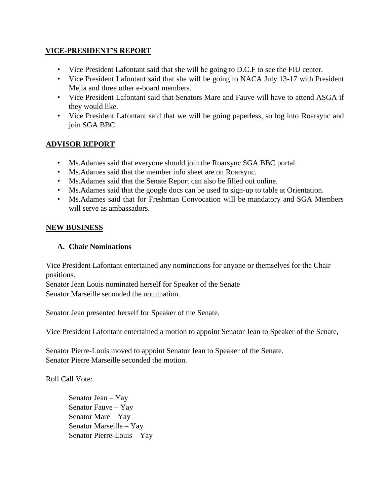### **VICE-PRESIDENT'S REPORT**

- Vice President Lafontant said that she will be going to D.C.F to see the FIU center.
- Vice President Lafontant said that she will be going to NACA July 13-17 with President Mejia and three other e-board members.
- Vice President Lafontant said that Senators Mare and Fauve will have to attend ASGA if they would like.
- Vice President Lafontant said that we will be going paperless, so log into Roarsync and join SGA BBC.

# **ADVISOR REPORT**

- Ms.Adames said that everyone should join the Roarsync SGA BBC portal.
- Ms.Adames said that the member info sheet are on Roarsync.
- Ms.Adames said that the Senate Report can also be filled out online.
- Ms.Adames said that the google docs can be used to sign-up to table at Orientation.
- Ms.Adames said that for Freshman Convocation will be mandatory and SGA Members will serve as ambassadors.

#### **NEW BUSINESS**

#### **A. Chair Nominations**

Vice President Lafontant entertained any nominations for anyone or themselves for the Chair positions.

Senator Jean Louis nominated herself for Speaker of the Senate Senator Marseille seconded the nomination.

Senator Jean presented herself for Speaker of the Senate.

Vice President Lafontant entertained a motion to appoint Senator Jean to Speaker of the Senate,

Senator Pierre-Louis moved to appoint Senator Jean to Speaker of the Senate. Senator Pierre Marseille seconded the motion.

Roll Call Vote:

Senator Jean – Yay Senator Fauve – Yay Senator Mare – Yay Senator Marseille – Yay Senator Pierre-Louis – Yay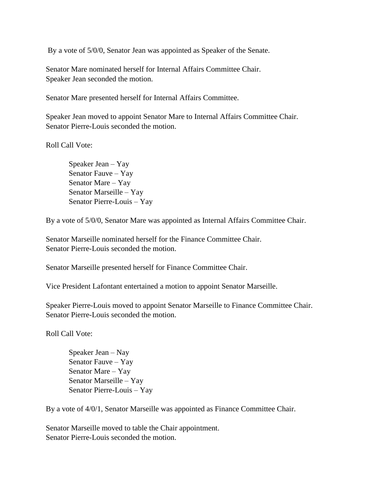By a vote of 5/0/0, Senator Jean was appointed as Speaker of the Senate.

Senator Mare nominated herself for Internal Affairs Committee Chair. Speaker Jean seconded the motion.

Senator Mare presented herself for Internal Affairs Committee.

Speaker Jean moved to appoint Senator Mare to Internal Affairs Committee Chair. Senator Pierre-Louis seconded the motion.

Roll Call Vote:

Speaker Jean – Yay Senator Fauve – Yay Senator Mare – Yay Senator Marseille – Yay Senator Pierre-Louis – Yay

By a vote of 5/0/0, Senator Mare was appointed as Internal Affairs Committee Chair.

Senator Marseille nominated herself for the Finance Committee Chair. Senator Pierre-Louis seconded the motion.

Senator Marseille presented herself for Finance Committee Chair.

Vice President Lafontant entertained a motion to appoint Senator Marseille.

Speaker Pierre-Louis moved to appoint Senator Marseille to Finance Committee Chair. Senator Pierre-Louis seconded the motion.

Roll Call Vote:

Speaker Jean – Nay Senator Fauve – Yay Senator Mare – Yay Senator Marseille – Yay Senator Pierre-Louis – Yay

By a vote of 4/0/1, Senator Marseille was appointed as Finance Committee Chair.

Senator Marseille moved to table the Chair appointment. Senator Pierre-Louis seconded the motion.